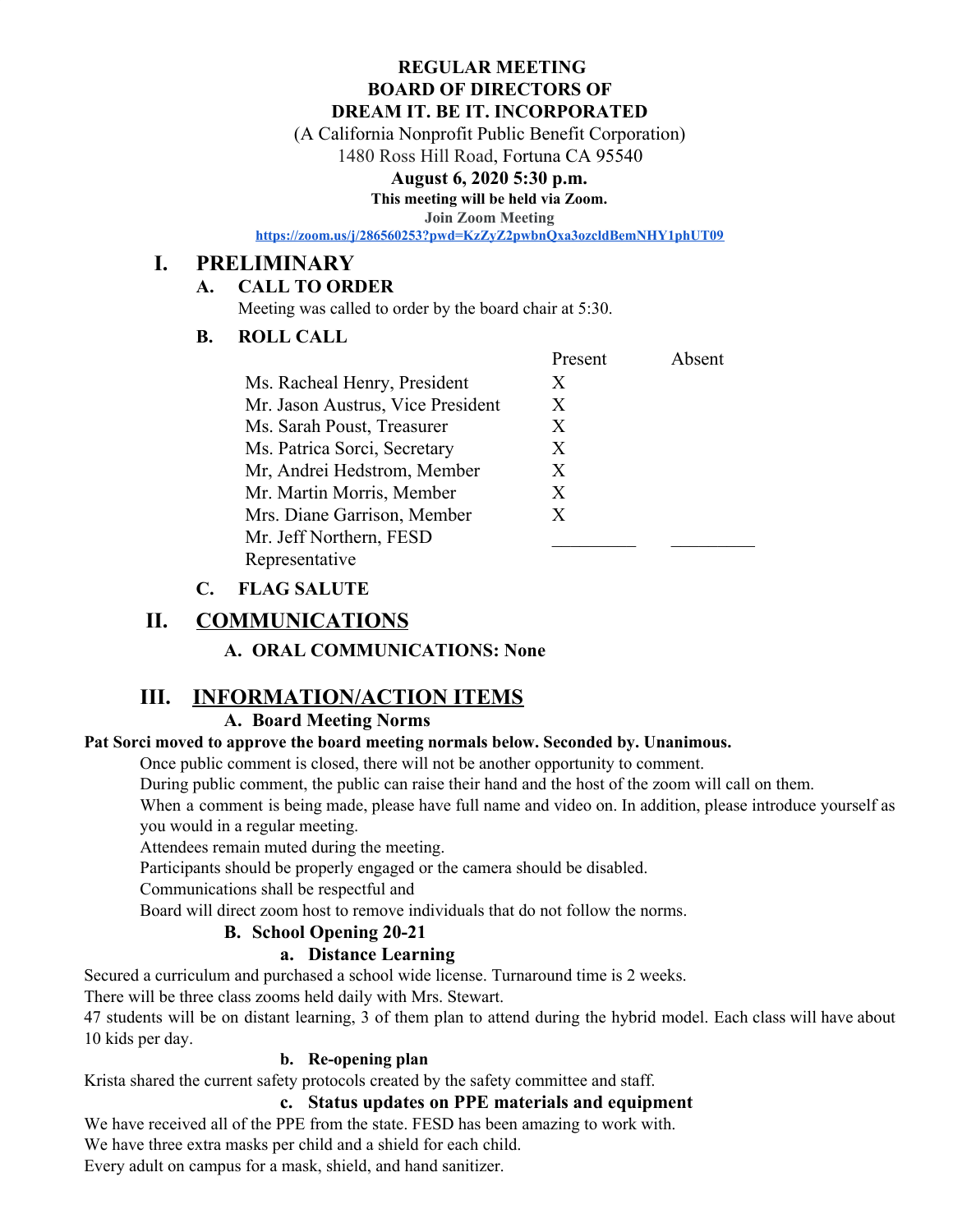#### **REGULAR MEETING BOARD OF DIRECTORS OF DREAM IT. BE IT. INCORPORATED**

(A California Nonprofit Public Benefit Corporation)

1480 Ross Hill Road, Fortuna CA 95540

#### **August 6, 2020 5:30 p.m.**

**This meeting will be held via Zoom.**

**Join Zoom Meeting**

**<https://zoom.us/j/286560253?pwd=KzZyZ2pwbnQxa3ozcldBemNHY1phUT09>**

# **I. PRELIMINARY**

### **A. CALL TO ORDER**

Meeting was called to order by the board chair at 5:30.

## **B. ROLL CALL**

|                                   | Present | Absent |
|-----------------------------------|---------|--------|
| Ms. Racheal Henry, President      | X       |        |
| Mr. Jason Austrus, Vice President | X       |        |
| Ms. Sarah Poust, Treasurer        | X       |        |
| Ms. Patrica Sorci, Secretary      | X       |        |
| Mr. Andrei Hedstrom, Member       | X       |        |
| Mr. Martin Morris, Member         | Х       |        |
| Mrs. Diane Garrison, Member       | X       |        |
| Mr. Jeff Northern, FESD           |         |        |
| Representative                    |         |        |

## **C. FLAG SALUTE**

# **II. COMMUNICATIONS**

**A. ORAL COMMUNICATIONS: None**

# **III. INFORMATION/ACTION ITEMS**

#### **A. Board Meeting Norms**

#### **Pat Sorci moved to approve the board meeting normals below. Seconded by. Unanimous.**

Once public comment is closed, there will not be another opportunity to comment.

During public comment, the public can raise their hand and the host of the zoom will call on them.

When a comment is being made, please have full name and video on. In addition, please introduce yourself as you would in a regular meeting.

Attendees remain muted during the meeting.

Participants should be properly engaged or the camera should be disabled.

Communications shall be respectful and

Board will direct zoom host to remove individuals that do not follow the norms.

#### **B. School Opening 20-21**

#### **a. Distance Learning**

Secured a curriculum and purchased a school wide license. Turnaround time is 2 weeks.

There will be three class zooms held daily with Mrs. Stewart.

47 students will be on distant learning, 3 of them plan to attend during the hybrid model. Each class will have about 10 kids per day.

#### **b. Re-opening plan**

Krista shared the current safety protocols created by the safety committee and staff.

#### **c. Status updates on PPE materials and equipment**

We have received all of the PPE from the state. FESD has been amazing to work with.

We have three extra masks per child and a shield for each child.

Every adult on campus for a mask, shield, and hand sanitizer.